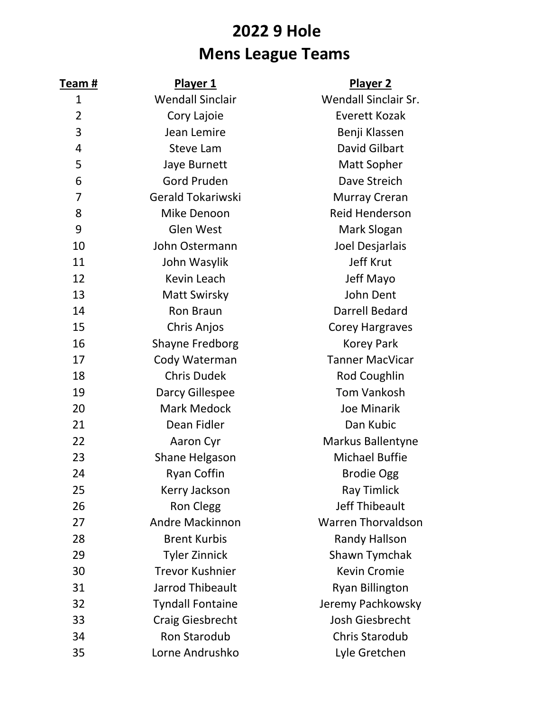## **2022 9 Hole Mens League Teams**

| Team #         | <b>Player 1</b>         | <b>Player 2</b>           |
|----------------|-------------------------|---------------------------|
| $\mathbf 1$    | <b>Wendall Sinclair</b> | Wendall Sinclair Sr.      |
| $\overline{2}$ | Cory Lajoie             | <b>Everett Kozak</b>      |
| 3              | Jean Lemire             | Benji Klassen             |
| 4              | <b>Steve Lam</b>        | David Gilbart             |
| 5              | Jaye Burnett            | Matt Sopher               |
| 6              | <b>Gord Pruden</b>      | Dave Streich              |
| $\overline{7}$ | Gerald Tokariwski       | <b>Murray Creran</b>      |
| 8              | Mike Denoon             | <b>Reid Henderson</b>     |
| 9              | <b>Glen West</b>        | Mark Slogan               |
| 10             | John Ostermann          | Joel Desjarlais           |
| 11             | John Wasylik            | <b>Jeff Krut</b>          |
| 12             | Kevin Leach             | Jeff Mayo                 |
| 13             | <b>Matt Swirsky</b>     | John Dent                 |
| 14             | <b>Ron Braun</b>        | <b>Darrell Bedard</b>     |
| 15             | Chris Anjos             | <b>Corey Hargraves</b>    |
| 16             | <b>Shayne Fredborg</b>  | <b>Korey Park</b>         |
| 17             | Cody Waterman           | <b>Tanner MacVicar</b>    |
| 18             | <b>Chris Dudek</b>      | Rod Coughlin              |
| 19             | Darcy Gillespee         | <b>Tom Vankosh</b>        |
| 20             | Mark Medock             | <b>Joe Minarik</b>        |
| 21             | Dean Fidler             | Dan Kubic                 |
| 22             | Aaron Cyr               | <b>Markus Ballentyne</b>  |
| 23             | Shane Helgason          | <b>Michael Buffie</b>     |
| 24             | <b>Ryan Coffin</b>      | <b>Brodie Ogg</b>         |
| 25             | Kerry Jackson           | <b>Ray Timlick</b>        |
| 26             | <b>Ron Clegg</b>        | <b>Jeff Thibeault</b>     |
| 27             | <b>Andre Mackinnon</b>  | <b>Warren Thorvaldson</b> |
| 28             | <b>Brent Kurbis</b>     | <b>Randy Hallson</b>      |
| 29             | <b>Tyler Zinnick</b>    | Shawn Tymchak             |
| 30             | <b>Trevor Kushnier</b>  | <b>Kevin Cromie</b>       |
| 31             | <b>Jarrod Thibeault</b> | <b>Ryan Billington</b>    |
| 32             | <b>Tyndall Fontaine</b> | Jeremy Pachkowsky         |
| 33             | <b>Craig Giesbrecht</b> | Josh Giesbrecht           |
| 34             | <b>Ron Starodub</b>     | <b>Chris Starodub</b>     |
| 35             | Lorne Andrushko         | Lyle Gretchen             |